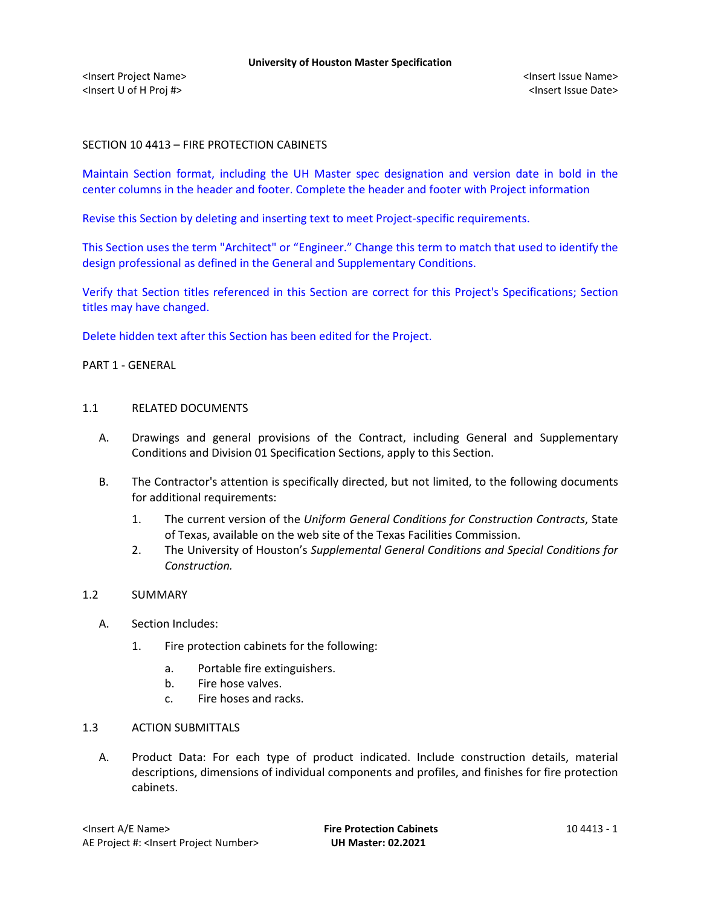# SECTION 10 4413 – FIRE PROTECTION CABINETS

Maintain Section format, including the UH Master spec designation and version date in bold in the center columns in the header and footer. Complete the header and footer with Project information

Revise this Section by deleting and inserting text to meet Project-specific requirements.

This Section uses the term "Architect" or "Engineer." Change this term to match that used to identify the design professional as defined in the General and Supplementary Conditions.

Verify that Section titles referenced in this Section are correct for this Project's Specifications; Section titles may have changed.

Delete hidden text after this Section has been edited for the Project.

# PART 1 - GENERAL

# 1.1 RELATED DOCUMENTS

- A. Drawings and general provisions of the Contract, including General and Supplementary Conditions and Division 01 Specification Sections, apply to this Section.
- B. The Contractor's attention is specifically directed, but not limited, to the following documents for additional requirements:
	- 1. The current version of the *Uniform General Conditions for Construction Contracts*, State of Texas, available on the web site of the Texas Facilities Commission.
	- 2. The University of Houston's *Supplemental General Conditions and Special Conditions for Construction.*

# 1.2 SUMMARY

- A. Section Includes:
	- 1. Fire protection cabinets for the following:
		- a. Portable fire extinguishers.
		- b. Fire hose valves.
		- c. Fire hoses and racks.

# 1.3 ACTION SUBMITTALS

A. Product Data: For each type of product indicated. Include construction details, material descriptions, dimensions of individual components and profiles, and finishes for fire protection cabinets.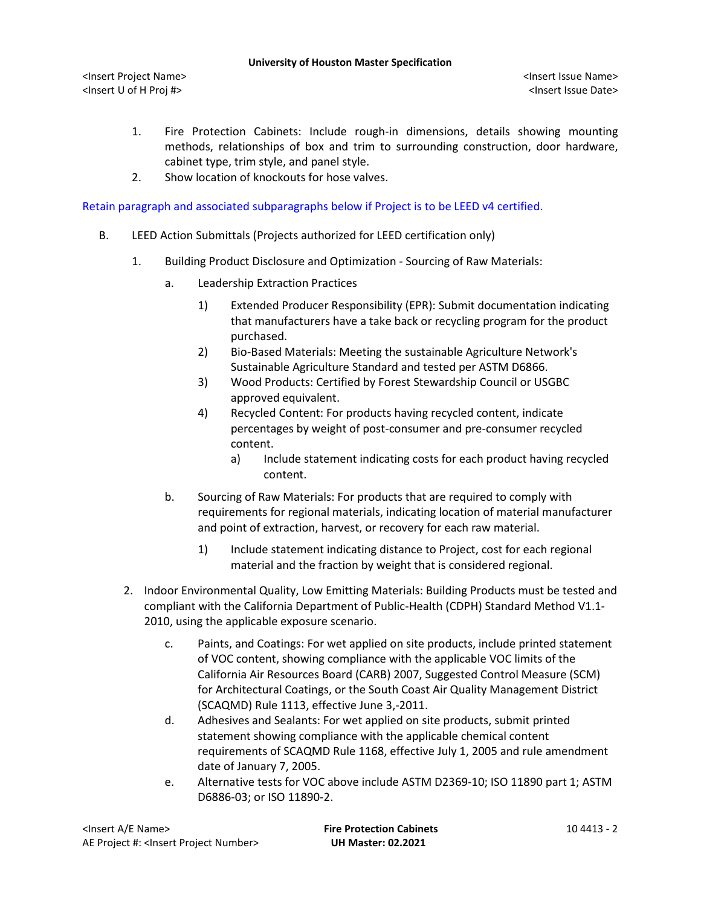#### **University of Houston Master Specification**

<Insert Project Name> <Insert Issue Name> <Insert U of H Proj #> <Insert Issue Date>

- 1. Fire Protection Cabinets: Include rough-in dimensions, details showing mounting methods, relationships of box and trim to surrounding construction, door hardware, cabinet type, trim style, and panel style.
- 2. Show location of knockouts for hose valves.

Retain paragraph and associated subparagraphs below if Project is to be LEED v4 certified.

- B. LEED Action Submittals (Projects authorized for LEED certification only)
	- 1. Building Product Disclosure and Optimization Sourcing of Raw Materials:
		- a. Leadership Extraction Practices
			- 1) Extended Producer Responsibility (EPR): Submit documentation indicating that manufacturers have a take back or recycling program for the product purchased.
			- 2) Bio-Based Materials: Meeting the sustainable Agriculture Network's Sustainable Agriculture Standard and tested per ASTM D6866.
			- 3) Wood Products: Certified by Forest Stewardship Council or USGBC approved equivalent.
			- 4) Recycled Content: For products having recycled content, indicate percentages by weight of post-consumer and pre-consumer recycled content.
				- a) Include statement indicating costs for each product having recycled content.
		- b. Sourcing of Raw Materials: For products that are required to comply with requirements for regional materials, indicating location of material manufacturer and point of extraction, harvest, or recovery for each raw material.
			- 1) Include statement indicating distance to Project, cost for each regional material and the fraction by weight that is considered regional.
	- 2. Indoor Environmental Quality, Low Emitting Materials: Building Products must be tested and compliant with the California Department of Public-Health (CDPH) Standard Method V1.1- 2010, using the applicable exposure scenario.
		- c. Paints, and Coatings: For wet applied on site products, include printed statement of VOC content, showing compliance with the applicable VOC limits of the California Air Resources Board (CARB) 2007, Suggested Control Measure (SCM) for Architectural Coatings, or the South Coast Air Quality Management District (SCAQMD) Rule 1113, effective June 3,-2011.
		- d. Adhesives and Sealants: For wet applied on site products, submit printed statement showing compliance with the applicable chemical content requirements of SCAQMD Rule 1168, effective July 1, 2005 and rule amendment date of January 7, 2005.
		- e. Alternative tests for VOC above include ASTM D2369-10; ISO 11890 part 1; ASTM D6886-03; or ISO 11890-2.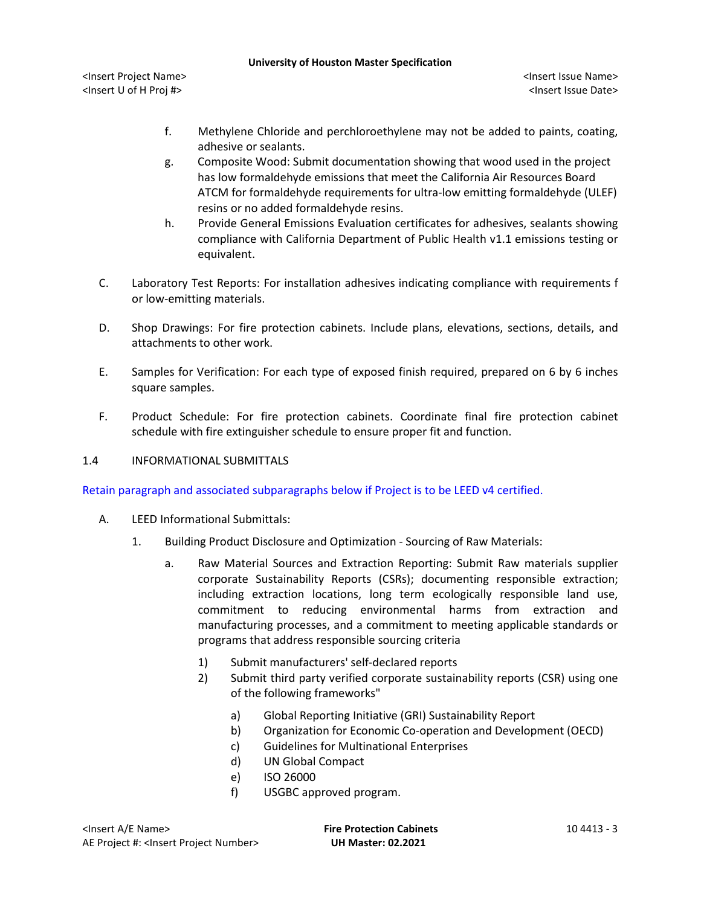#### **University of Houston Master Specification**

<Insert Project Name> <Insert Issue Name> <Insert U of H Proj #> <Insert Issue Date>

- f. Methylene Chloride and perchloroethylene may not be added to paints, coating, adhesive or sealants.
- g. Composite Wood: Submit documentation showing that wood used in the project has low formaldehyde emissions that meet the California Air Resources Board ATCM for formaldehyde requirements for ultra-low emitting formaldehyde (ULEF) resins or no added formaldehyde resins.
- h. Provide General Emissions Evaluation certificates for adhesives, sealants showing compliance with California Department of Public Health v1.1 emissions testing or equivalent.
- C. Laboratory Test Reports: For installation adhesives indicating compliance with requirements f or low-emitting materials.
- D. Shop Drawings: For fire protection cabinets. Include plans, elevations, sections, details, and attachments to other work.
- E. Samples for Verification: For each type of exposed finish required, prepared on 6 by 6 inches square samples.
- F. Product Schedule: For fire protection cabinets. Coordinate final fire protection cabinet schedule with fire extinguisher schedule to ensure proper fit and function.

# 1.4 INFORMATIONAL SUBMITTALS

Retain paragraph and associated subparagraphs below if Project is to be LEED v4 certified.

- A. LEED Informational Submittals:
	- 1. Building Product Disclosure and Optimization Sourcing of Raw Materials:
		- a. Raw Material Sources and Extraction Reporting: Submit Raw materials supplier corporate Sustainability Reports (CSRs); documenting responsible extraction; including extraction locations, long term ecologically responsible land use, commitment to reducing environmental harms from extraction and manufacturing processes, and a commitment to meeting applicable standards or programs that address responsible sourcing criteria
			- 1) Submit manufacturers' self-declared reports
			- 2) Submit third party verified corporate sustainability reports (CSR) using one of the following frameworks"
				- a) Global Reporting Initiative (GRI) Sustainability Report
				- b) Organization for Economic Co-operation and Development (OECD)
				- c) Guidelines for Multinational Enterprises
				- d) UN Global Compact
				- e) ISO 26000
				- f) USGBC approved program.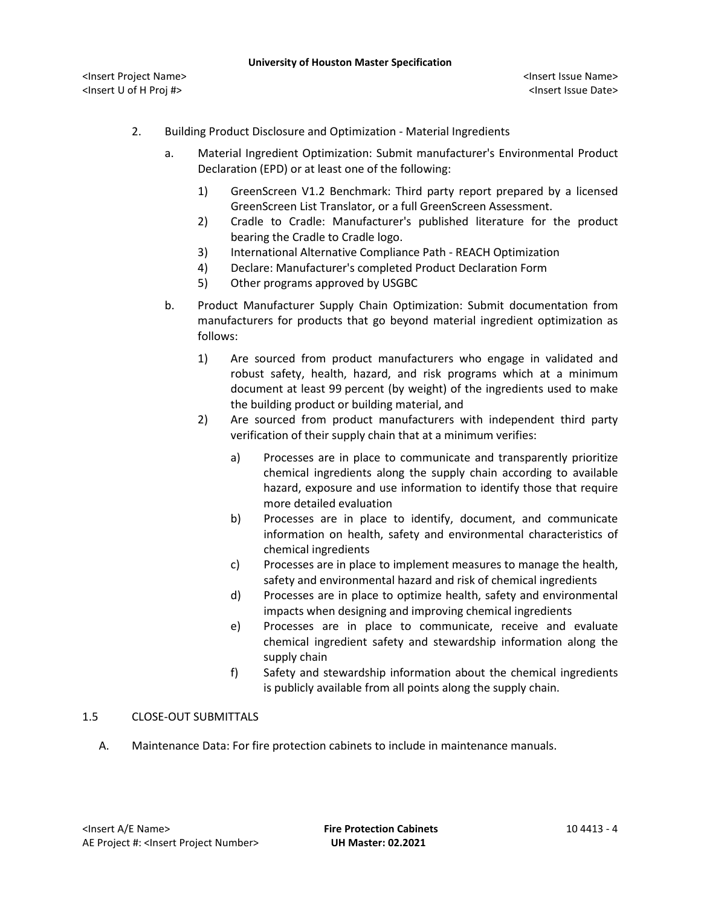- 2. Building Product Disclosure and Optimization Material Ingredients
	- a. Material Ingredient Optimization: Submit manufacturer's Environmental Product Declaration (EPD) or at least one of the following:
		- 1) GreenScreen V1.2 Benchmark: Third party report prepared by a licensed GreenScreen List Translator, or a full GreenScreen Assessment.
		- 2) Cradle to Cradle: Manufacturer's published literature for the product bearing the Cradle to Cradle logo.
		- 3) International Alternative Compliance Path REACH Optimization
		- 4) Declare: Manufacturer's completed Product Declaration Form
		- 5) Other programs approved by USGBC
	- b. Product Manufacturer Supply Chain Optimization: Submit documentation from manufacturers for products that go beyond material ingredient optimization as follows:
		- 1) Are sourced from product manufacturers who engage in validated and robust safety, health, hazard, and risk programs which at a minimum document at least 99 percent (by weight) of the ingredients used to make the building product or building material, and
		- 2) Are sourced from product manufacturers with independent third party verification of their supply chain that at a minimum verifies:
			- a) Processes are in place to communicate and transparently prioritize chemical ingredients along the supply chain according to available hazard, exposure and use information to identify those that require more detailed evaluation
			- b) Processes are in place to identify, document, and communicate information on health, safety and environmental characteristics of chemical ingredients
			- c) Processes are in place to implement measures to manage the health, safety and environmental hazard and risk of chemical ingredients
			- d) Processes are in place to optimize health, safety and environmental impacts when designing and improving chemical ingredients
			- e) Processes are in place to communicate, receive and evaluate chemical ingredient safety and stewardship information along the supply chain
			- f) Safety and stewardship information about the chemical ingredients is publicly available from all points along the supply chain.

# 1.5 CLOSE-OUT SUBMITTALS

A. Maintenance Data: For fire protection cabinets to include in maintenance manuals.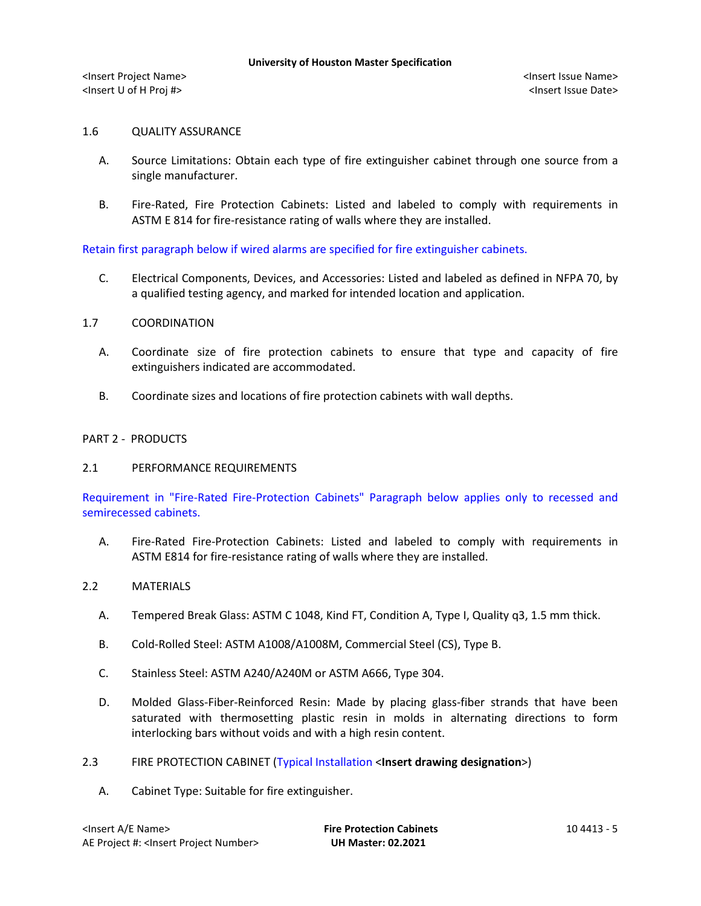# 1.6 QUALITY ASSURANCE

- A. Source Limitations: Obtain each type of fire extinguisher cabinet through one source from a single manufacturer.
- B. Fire-Rated, Fire Protection Cabinets: Listed and labeled to comply with requirements in ASTM E 814 for fire-resistance rating of walls where they are installed.

Retain first paragraph below if wired alarms are specified for fire extinguisher cabinets.

C. Electrical Components, Devices, and Accessories: Listed and labeled as defined in NFPA 70, by a qualified testing agency, and marked for intended location and application.

# 1.7 COORDINATION

- A. Coordinate size of fire protection cabinets to ensure that type and capacity of fire extinguishers indicated are accommodated.
- B. Coordinate sizes and locations of fire protection cabinets with wall depths.

# PART 2 - PRODUCTS

# 2.1 PERFORMANCE REQUIREMENTS

Requirement in "Fire-Rated Fire-Protection Cabinets" Paragraph below applies only to recessed and semirecessed cabinets.

A. Fire-Rated Fire-Protection Cabinets: Listed and labeled to comply with requirements in ASTM E814 for fire-resistance rating of walls where they are installed.

# 2.2 MATERIALS

- A. Tempered Break Glass: ASTM C 1048, Kind FT, Condition A, Type I, Quality q3, 1.5 mm thick.
- B. Cold-Rolled Steel: ASTM A1008/A1008M, Commercial Steel (CS), Type B.
- C. Stainless Steel: ASTM A240/A240M or ASTM A666, Type 304.
- D. Molded Glass-Fiber-Reinforced Resin: Made by placing glass-fiber strands that have been saturated with thermosetting plastic resin in molds in alternating directions to form interlocking bars without voids and with a high resin content.
- 2.3 FIRE PROTECTION CABINET (Typical Installation <**Insert drawing designation**>)
	- A. Cabinet Type: Suitable for fire extinguisher.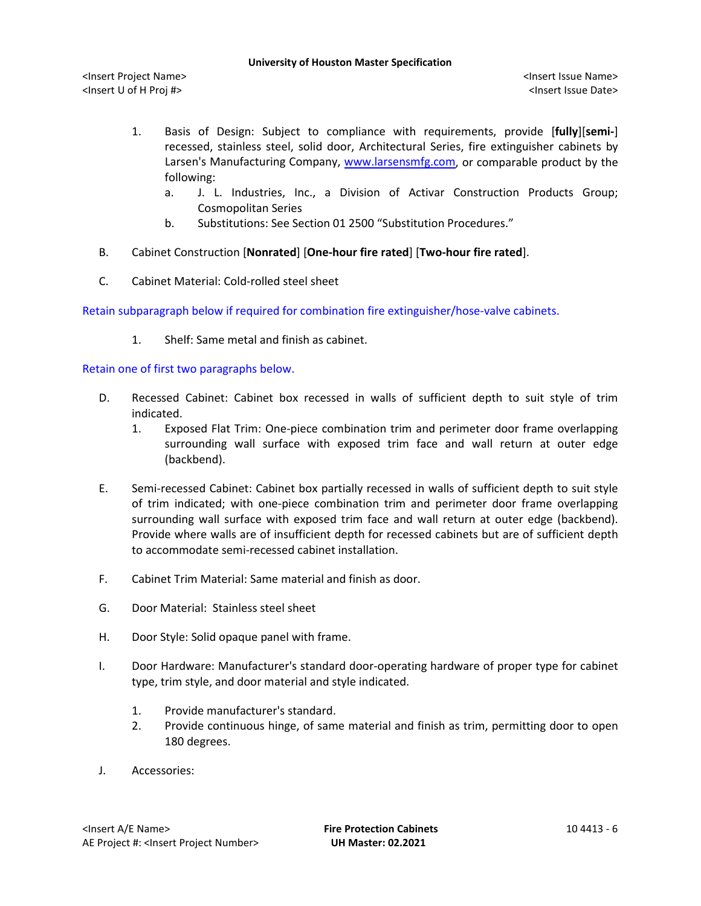- 1. Basis of Design: Subject to compliance with requirements, provide [**fully**][**semi-**] recessed, stainless steel, solid door, Architectural Series, fire extinguisher cabinets by Larsen's Manufacturing Company, [www.larsensmfg.com,](http://www.larsensmfg.com/) or comparable product by the following:
	- a. [J. L. Industries, Inc., a Division of Activar Construction Products Group;](http://www.specagent.com/LookUp/?uid=123456815878&mf=04&src=wd) Cosmopolitan Series
	- b. Substitutions: See Section 01 2500 "Substitution Procedures."
- B. Cabinet Construction [**Nonrated**] [**One-hour fire rated**] [**Two-hour fire rated**].
- C. Cabinet Material: Cold-rolled steel sheet

Retain subparagraph below if required for combination fire extinguisher/hose-valve cabinets.

1. Shelf: Same metal and finish as cabinet.

# Retain one of first two paragraphs below.

- D. Recessed Cabinet: Cabinet box recessed in walls of sufficient depth to suit style of trim indicated.
	- 1. Exposed Flat Trim: One-piece combination trim and perimeter door frame overlapping surrounding wall surface with exposed trim face and wall return at outer edge (backbend).
- E. Semi-recessed Cabinet: Cabinet box partially recessed in walls of sufficient depth to suit style of trim indicated; with one-piece combination trim and perimeter door frame overlapping surrounding wall surface with exposed trim face and wall return at outer edge (backbend). Provide where walls are of insufficient depth for recessed cabinets but are of sufficient depth to accommodate semi-recessed cabinet installation.
- F. Cabinet Trim Material: Same material and finish as door.
- G. Door Material: Stainless steel sheet
- H. Door Style: Solid opaque panel with frame.
- I. Door Hardware: Manufacturer's standard door-operating hardware of proper type for cabinet type, trim style, and door material and style indicated.
	- 1. Provide manufacturer's standard.
	- 2. Provide continuous hinge, of same material and finish as trim, permitting door to open 180 degrees.
- J. Accessories: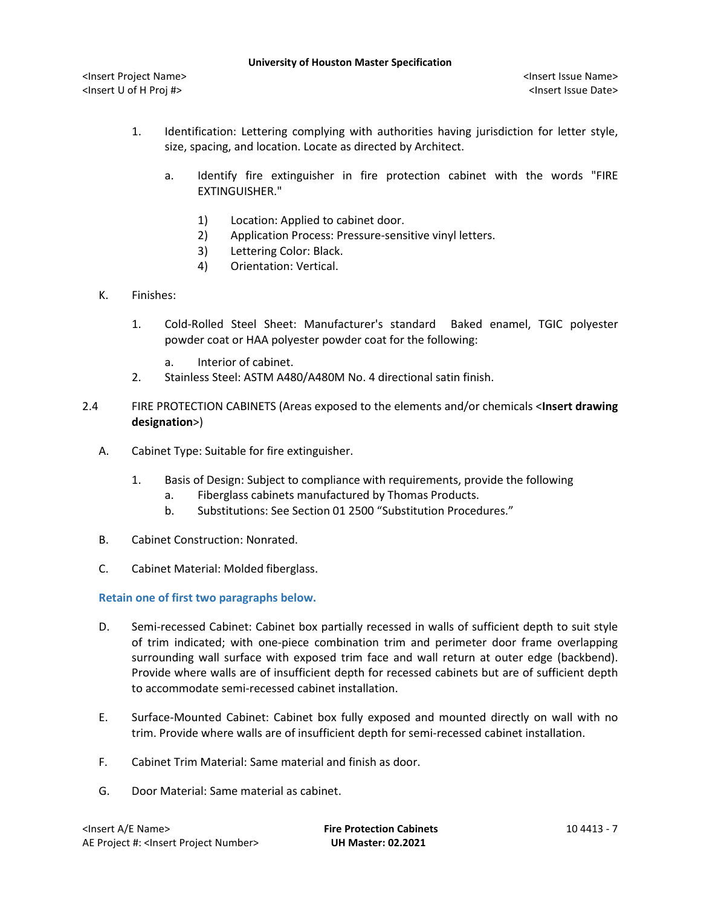- 1. Identification: Lettering complying with authorities having jurisdiction for letter style, size, spacing, and location. Locate as directed by Architect.
	- a. Identify fire extinguisher in fire protection cabinet with the words "FIRE EXTINGUISHER."
		- 1) Location: Applied to cabinet door.
		- 2) Application Process: Pressure-sensitive vinyl letters.
		- 3) Lettering Color: Black.
		- 4) Orientation: Vertical.
- K. Finishes:
	- 1. Cold-Rolled Steel Sheet: Manufacturer's standard Baked enamel, TGIC polyester powder coat or HAA polyester powder coat for the following:
		- a. Interior of cabinet.
	- 2. Stainless Steel: ASTM A480/A480M No. 4 directional satin finish.
- 2.4 FIRE PROTECTION CABINETS (Areas exposed to the elements and/or chemicals <**Insert drawing designation**>)
	- A. Cabinet Type: Suitable for fire extinguisher.
		- 1. Basis of Design: Subject to compliance with requirements, provide the following
			- a. Fiberglass cabinets manufactured by Thomas Products.
			- b. Substitutions: See Section 01 2500 "Substitution Procedures."
	- B. Cabinet Construction: Nonrated.
	- C. Cabinet Material: Molded fiberglass.

**Retain one of first two paragraphs below.**

- D. Semi-recessed Cabinet: Cabinet box partially recessed in walls of sufficient depth to suit style of trim indicated; with one-piece combination trim and perimeter door frame overlapping surrounding wall surface with exposed trim face and wall return at outer edge (backbend). Provide where walls are of insufficient depth for recessed cabinets but are of sufficient depth to accommodate semi-recessed cabinet installation.
- E. Surface-Mounted Cabinet: Cabinet box fully exposed and mounted directly on wall with no trim. Provide where walls are of insufficient depth for semi-recessed cabinet installation.
- F. Cabinet Trim Material: Same material and finish as door.
- G. Door Material: Same material as cabinet.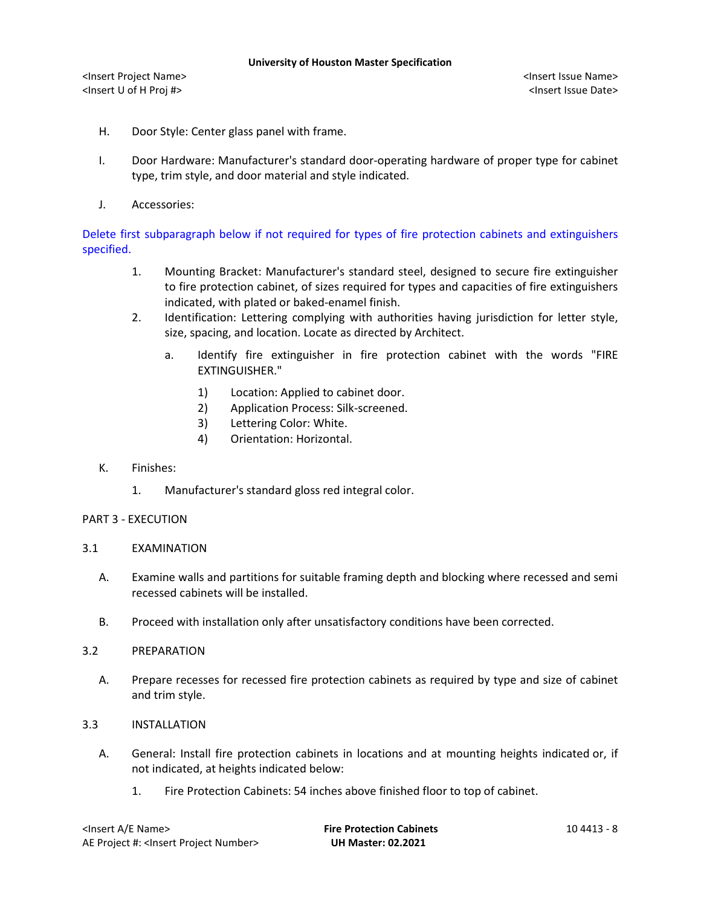- H. Door Style: Center glass panel with frame.
- I. Door Hardware: Manufacturer's standard door-operating hardware of proper type for cabinet type, trim style, and door material and style indicated.
- J. Accessories:

Delete first subparagraph below if not required for types of fire protection cabinets and extinguishers specified.

- 1. Mounting Bracket: Manufacturer's standard steel, designed to secure fire extinguisher to fire protection cabinet, of sizes required for types and capacities of fire extinguishers indicated, with plated or baked-enamel finish.
- 2. Identification: Lettering complying with authorities having jurisdiction for letter style, size, spacing, and location. Locate as directed by Architect.
	- a. Identify fire extinguisher in fire protection cabinet with the words "FIRE EXTINGUISHER."
		- 1) Location: Applied to cabinet door.
		- 2) Application Process: Silk-screened.
		- 3) Lettering Color: White.
		- 4) Orientation: Horizontal.
- K. Finishes:
	- 1. Manufacturer's standard gloss red integral color.

# PART 3 - EXECUTION

- 3.1 EXAMINATION
	- A. Examine walls and partitions for suitable framing depth and blocking where recessed and semi recessed cabinets will be installed.
	- B. Proceed with installation only after unsatisfactory conditions have been corrected.
- 3.2 PREPARATION
	- A. Prepare recesses for recessed fire protection cabinets as required by type and size of cabinet and trim style.
- 3.3 INSTALLATION
	- A. General: Install fire protection cabinets in locations and at mounting heights indicated or, if not indicated, at heights indicated below:
		- 1. Fire Protection Cabinets: 54 inches above finished floor to top of cabinet.